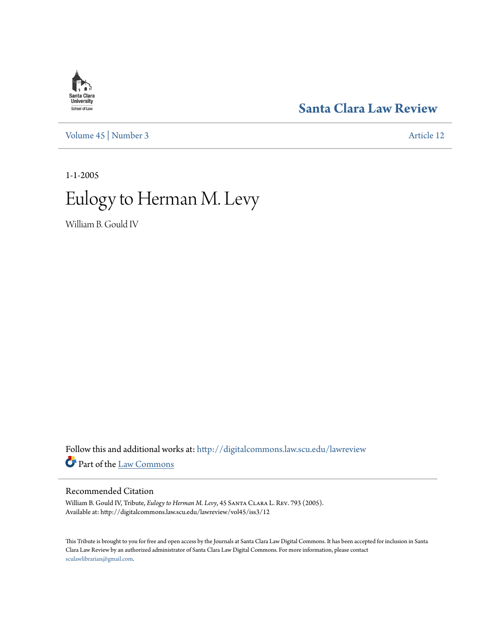## **[Santa Clara Law Review](http://digitalcommons.law.scu.edu/lawreview?utm_source=digitalcommons.law.scu.edu%2Flawreview%2Fvol45%2Fiss3%2F12&utm_medium=PDF&utm_campaign=PDFCoverPages)**

[Volume 45](http://digitalcommons.law.scu.edu/lawreview/vol45?utm_source=digitalcommons.law.scu.edu%2Flawreview%2Fvol45%2Fiss3%2F12&utm_medium=PDF&utm_campaign=PDFCoverPages) | [Number 3](http://digitalcommons.law.scu.edu/lawreview/vol45/iss3?utm_source=digitalcommons.law.scu.edu%2Flawreview%2Fvol45%2Fiss3%2F12&utm_medium=PDF&utm_campaign=PDFCoverPages) [Article 12](http://digitalcommons.law.scu.edu/lawreview/vol45/iss3/12?utm_source=digitalcommons.law.scu.edu%2Flawreview%2Fvol45%2Fiss3%2F12&utm_medium=PDF&utm_campaign=PDFCoverPages)

1-1-2005

# Eulogy to Herman M. Levy

William B. Gould IV

Follow this and additional works at: [http://digitalcommons.law.scu.edu/lawreview](http://digitalcommons.law.scu.edu/lawreview?utm_source=digitalcommons.law.scu.edu%2Flawreview%2Fvol45%2Fiss3%2F12&utm_medium=PDF&utm_campaign=PDFCoverPages) Part of the [Law Commons](http://network.bepress.com/hgg/discipline/578?utm_source=digitalcommons.law.scu.edu%2Flawreview%2Fvol45%2Fiss3%2F12&utm_medium=PDF&utm_campaign=PDFCoverPages)

#### Recommended Citation

William B. Gould IV, Tribute, *Eulogy to Herman M. Levy*, 45 Santa Clara L. Rev. 793 (2005). Available at: http://digitalcommons.law.scu.edu/lawreview/vol45/iss3/12

This Tribute is brought to you for free and open access by the Journals at Santa Clara Law Digital Commons. It has been accepted for inclusion in Santa Clara Law Review by an authorized administrator of Santa Clara Law Digital Commons. For more information, please contact [sculawlibrarian@gmail.com](mailto:sculawlibrarian@gmail.com).

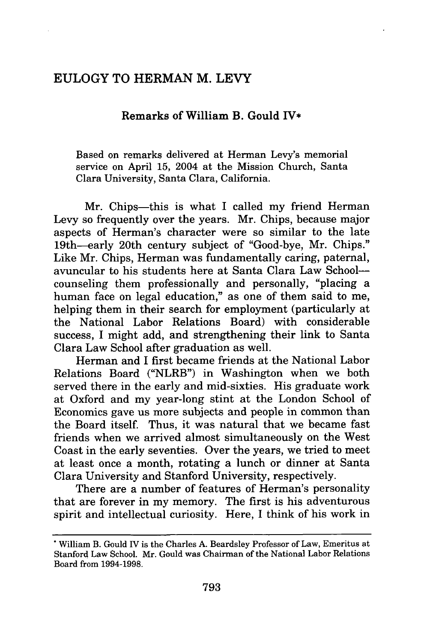### EULOGY TO HERMAN M. LEVY

#### Remarks of William B. Gould IV\*

Based on remarks delivered at Herman Levy's memorial service on April **15,** 2004 at the Mission Church, Santa Clara University, Santa Clara, California.

Mr. Chips-this is what I called my friend Herman Levy so frequently over the years. Mr. Chips, because major aspects of Herman's character were so similar to the late 19th-early 20th century subject of "Good-bye, Mr. Chips." Like Mr. Chips, Herman was fundamentally caring, paternal, avuncular to his students here at Santa Clara Law Schoolcounseling them professionally and personally, "placing a human face on legal education," as one of them said to me, helping them in their search for employment (particularly at the National Labor Relations Board) with considerable success, I might add, and strengthening their link to Santa Clara Law School after graduation as well.

Herman and I first became friends at the National Labor Relations Board ("NLRB") in Washington when we both served there in the early and mid-sixties. His graduate work at Oxford and my year-long stint at the London School of Economics gave us more subjects and people in common than the Board itself. Thus, it was natural that we became fast friends when we arrived almost simultaneously on the West Coast in the early seventies. Over the years, we tried to meet at least once a month, rotating a lunch or dinner at Santa Clara University and Stanford University, respectively.

There are a number of features of Herman's personality that are forever in my memory. The first is his adventurous spirit and intellectual curiosity. Here, I think of his work in

**<sup>\*</sup>** William B. Gould IV is the Charles A. Beardsley Professor of Law, Emeritus at Stanford Law School. Mr. Gould was Chairman of the National Labor Relations Board from **1994-1998.**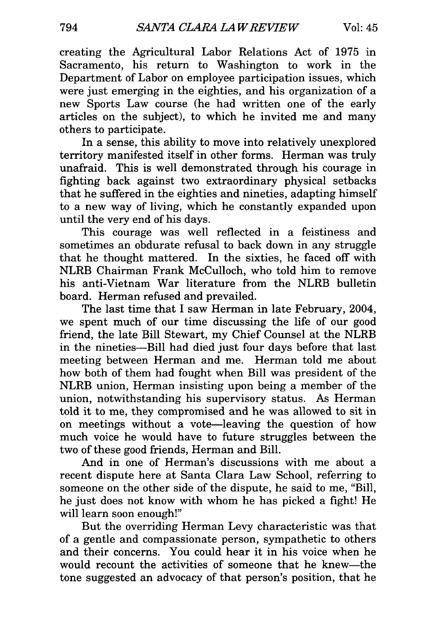creating the Agricultural Labor Relations Act of 1975 in Sacramento, his return to Washington to work in the Department of Labor on employee participation issues, which were just emerging in the eighties, and his organization of a new Sports Law course (he had written one of the early articles on the subject), to which he invited me and many others to participate.

In a sense, this ability to move into relatively unexplored territory manifested itself in other forms. Herman was truly unafraid. This is well demonstrated through his courage in fighting back against two extraordinary physical setbacks that he suffered in the eighties and nineties, adapting himself to a new way of living, which he constantly expanded upon until the very end of his days.

This courage was well reflected in a feistiness and sometimes an obdurate refusal to back down in any struggle that he thought mattered. In the sixties, he faced off with NLRB Chairman Frank McCulloch, who told him to remove his anti-Vietnam War literature from the NLRB bulletin board. Herman refused and prevailed.

The last time that I saw Herman in late February, 2004, we spent much of our time discussing the life of our good friend, the late Bill Stewart, my Chief Counsel at the NLRB in the nineties-Bill had died just four days before that last meeting between Herman and me. Herman told me about how both of them had fought when Bill was president of the NLRB union, Herman insisting upon being a member of the union, notwithstanding his supervisory status. As Herman told it to me, they compromised and he was allowed to sit in on meetings without a vote-leaving the question of how much voice he would have to future struggles between the two of these good friends, Herman and Bill.

And in one of Herman's discussions with me about a recent dispute here at Santa Clara Law School, referring to someone on the other side of the dispute, he said to me, "Bill, he just does not know with whom he has picked a fight! He will learn soon enough!"

But the overriding Herman Levy characteristic was that of a gentle and compassionate person, sympathetic to others and their concerns. You could hear it in his voice when he would recount the activities of someone that he knew-the tone suggested an advocacy of that person's position, that he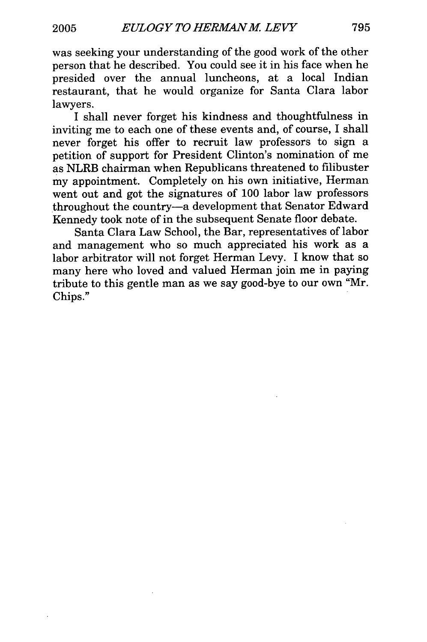was seeking your understanding of the good work of the other person that he described. You could see it in his face when he presided over the annual luncheons, at a local Indian restaurant, that he would organize for Santa Clara labor lawyers.

I shall never forget his kindness and thoughtfulness in inviting me to each one of these events and, of course, I shall never forget his offer to recruit law professors to sign a petition of support for President Clinton's nomination of me as NLRB chairman when Republicans threatened to filibuster my appointment. Completely on his own initiative, Herman went out and got the signatures of 100 labor law professors throughout the country-a development that Senator Edward Kennedy took note of in the subsequent Senate floor debate.

Santa Clara Law School, the Bar, representatives of labor and management who so much appreciated his work as a labor arbitrator will not forget Herman Levy. I know that so many here who loved and valued Herman join me in paying tribute to this gentle man as we say good-bye to our own "Mr. Chips."